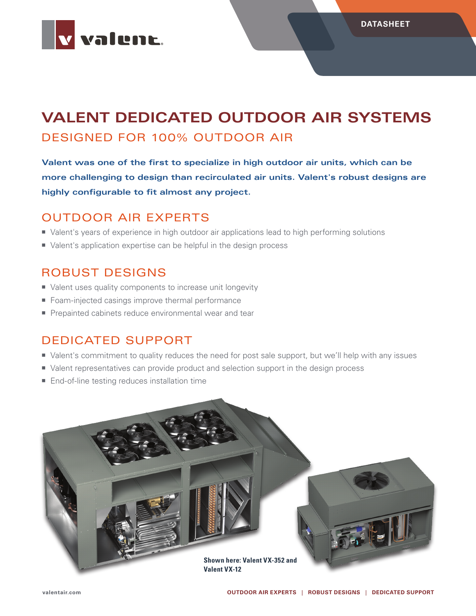

# **VALENT DEDICATED OUTDOOR AIR SYSTEMS** DESIGNED FOR 100% OUTDOOR AIR

**Valent was one of the first to specialize in high outdoor air units, which can be more challenging to design than recirculated air units. Valent's robust designs are highly configurable to fit almost any project.**

## OUTDOOR AIR EXPERTS

- Valent's years of experience in high outdoor air applications lead to high performing solutions
- Ualent's application expertise can be helpful in the design process

## ROBUST DESIGNS

- Valent uses quality components to increase unit longevity
- Foam-injected casings improve thermal performance
- Prepainted cabinets reduce environmental wear and tear

### DEDICATED SUPPORT

- Valent's commitment to quality reduces the need for post sale support, but we'll help with any issues
- Valent representatives can provide product and selection support in the design process
- End-of-line testing reduces installation time

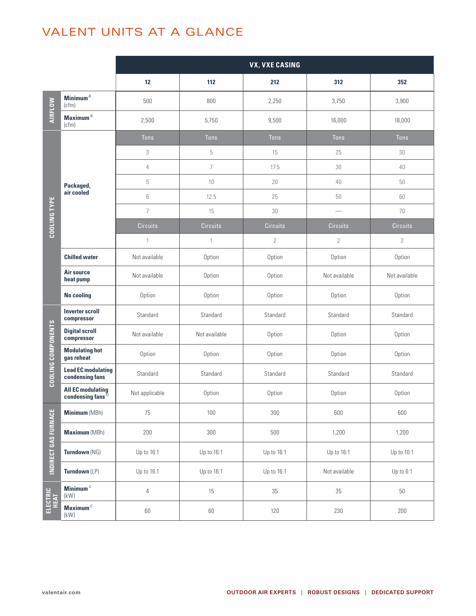## VALENT UNITS AT A GLANCE

|                                                                       |                                                          | <b>VX, VXE CASING</b> |                 |                 |                               |                 |  |  |  |
|-----------------------------------------------------------------------|----------------------------------------------------------|-----------------------|-----------------|-----------------|-------------------------------|-----------------|--|--|--|
|                                                                       |                                                          | 12                    | 112             | 212             | 312                           | 352             |  |  |  |
| AIRFLOW                                                               | Minimum <sup>a</sup><br>(cfm)                            | 500                   | 800             | 2,250           | 3,750                         | 3,900           |  |  |  |
|                                                                       | Maximum <sup>a</sup><br>(cfm)                            | 2,500                 | 5,750           | 9,500           | 16,000                        | 18,000          |  |  |  |
|                                                                       |                                                          | <b>Tons</b>           | Tons            | <b>Tons</b>     | <b>Tons</b>                   | <b>Tons</b>     |  |  |  |
|                                                                       |                                                          | 3                     | $\mathbf 5$     | 15              | 25                            | 30              |  |  |  |
|                                                                       | Packaged,<br>air cooled                                  | $\overline{4}$        | $\overline{7}$  | 17.5            | 30                            | 40              |  |  |  |
| <b>COOLING TYPE</b>                                                   |                                                          | 5                     | 10              | 20              | 40                            | 50              |  |  |  |
|                                                                       |                                                          | 6                     | 12.5            | 25              | 50                            | 60              |  |  |  |
|                                                                       |                                                          | $\overline{7}$        | 15              | 30              | $\overbrace{\phantom{12332}}$ | 70              |  |  |  |
|                                                                       |                                                          | Circuits              | <b>Circuits</b> | <b>Circuits</b> | <b>Circuits</b>               | <b>Circuits</b> |  |  |  |
|                                                                       |                                                          | $\mathbf{1}$          | $\mathbf{1}$    | $\overline{2}$  | $\sqrt{2}$                    | $\sqrt{2}$      |  |  |  |
|                                                                       | <b>Chilled water</b>                                     | Not available         | Option          | Option          | Option                        | Option          |  |  |  |
|                                                                       | Air source<br>heat pump                                  | Not available         | Option          | Option          | Not available                 | Not available   |  |  |  |
|                                                                       | <b>No cooling</b>                                        | Option                | Option          | Option          | Option                        | Option          |  |  |  |
|                                                                       | <b>Inverter scroll</b><br>compressor                     | Standard              | Standard        | Standard        | Standard                      | Standard        |  |  |  |
| COOLING COMPONENTS<br><b>INDIRECT GAS FURNACE</b><br>ELECTRIC<br>HEAT | <b>Digital scroll</b><br>compressor                      | Not available         | Not available   | Option          | Option                        | Option          |  |  |  |
|                                                                       | <b>Modulating hot</b><br>gas reheat                      | Option                | Option          | Option          | Option                        | Option          |  |  |  |
|                                                                       | <b>Lead EC modulating</b><br>condensing fans             | Standard              | Standard        | Standard        | Standard                      | Standard        |  |  |  |
|                                                                       | <b>All EC modulating</b><br>condensing fans <sup>b</sup> | Not applicable        | Option          | Option          | Option                        | Option          |  |  |  |
|                                                                       | Minimum (MBh)                                            | 75                    | 100             | 300             | 600                           | 600             |  |  |  |
|                                                                       | Maximum (MBh)                                            | 200                   | 300             | 500             | 1,200                         | 1,200           |  |  |  |
|                                                                       | Turndown (NG)                                            | Up to 16:1            | Up to 16:1      | Up to 16:1      | Up to 16:1                    | Up to 10:1      |  |  |  |
|                                                                       | Turndown (LP)                                            | Up to 16:1            | Up to 16:1      | Up to 16:1      | Not available                 | Up to 6:1       |  |  |  |
|                                                                       | Minimum $^{\rm c}$<br>(kW)                               | $\overline{4}$        | 15              | $35\,$          | 35                            | $50\,$          |  |  |  |
|                                                                       | Maximum <sup>c</sup><br>(kW)                             | 60                    | 60              | 120             | 230                           | 200             |  |  |  |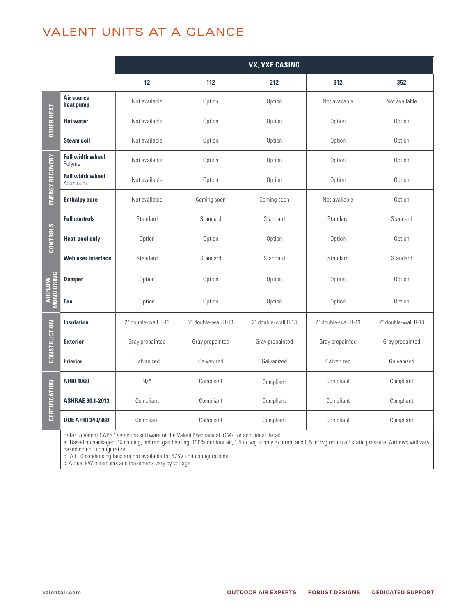## VALENT UNITS AT A GLANCE

|                     |                                     | <b>VX, VXE CASING</b> |                     |                     |                     |                                                                                                                                                                              |  |  |  |  |
|---------------------|-------------------------------------|-----------------------|---------------------|---------------------|---------------------|------------------------------------------------------------------------------------------------------------------------------------------------------------------------------|--|--|--|--|
|                     |                                     | 12                    | 112                 | 212                 | 312                 | 352                                                                                                                                                                          |  |  |  |  |
|                     | Air source<br>heat pump             | Not available         | Option              | Option              | Not available       | Not available                                                                                                                                                                |  |  |  |  |
| <b>OTHER HEAT</b>   | <b>Hot water</b>                    | Not available         | Option              | Option              | Option              | Option                                                                                                                                                                       |  |  |  |  |
|                     | <b>Steam coil</b>                   | Not available         | Option              | Option              | Option              | Option<br>Option<br>Option<br>Option<br>Standard<br>Option<br>Standard<br>Option<br>Option<br>2" double-wall R-13<br>Gray prepainted<br>Galvanized<br>Compliant<br>Compliant |  |  |  |  |
|                     | <b>Full width wheel</b><br>Polymer  | Not available         | Option              | Option              | Option              |                                                                                                                                                                              |  |  |  |  |
|                     | <b>Full width wheel</b><br>Aluminum | Not available         | Option              | Option              | Option              |                                                                                                                                                                              |  |  |  |  |
| ENERGY RECOVERY     | <b>Enthalpy core</b>                | Not available         | Coming soon         | Coming soon         | Not available       |                                                                                                                                                                              |  |  |  |  |
|                     | <b>Full controls</b>                | Standard              | Standard            | Standard            | Standard            |                                                                                                                                                                              |  |  |  |  |
|                     | <b>Heat-cool only</b>               | Option                | Option              | Option              | Option              |                                                                                                                                                                              |  |  |  |  |
| <b>CONTROLS</b>     | Web user interface                  | Standard              | Standard            | Standard            | Standard            |                                                                                                                                                                              |  |  |  |  |
| <b>AIRFLOW</b>      | <b>Damper</b>                       | Option                | Option              | Option              | Option              |                                                                                                                                                                              |  |  |  |  |
|                     | Fan                                 | Option                | Option              | Option              | Option              | Compliant                                                                                                                                                                    |  |  |  |  |
|                     | <b>Insulation</b>                   | 2" double-wall R-13   | 2" double-wall R-13 | 2" double-wall R-13 | 2" double-wall R-13 |                                                                                                                                                                              |  |  |  |  |
| <b>CONSTRUCTION</b> | <b>Exterior</b>                     | Gray prepainted       | Gray prepainted     | Gray prepainted     | Gray prepainted     |                                                                                                                                                                              |  |  |  |  |
|                     | <b>Interior</b>                     | Galvanized            | Galvanized          | Galvanized          | Galvanized          |                                                                                                                                                                              |  |  |  |  |
|                     | <b>AHRI 1060</b>                    | N/A                   | Compliant           | Compliant           | Compliant           |                                                                                                                                                                              |  |  |  |  |
| CERTIFICATION       | <b>ASHRAE 90.1-2013</b>             | Compliant             | Compliant           | Compliant           | Compliant           |                                                                                                                                                                              |  |  |  |  |
|                     | <b>DOE AHRI 340/360</b>             | Compliant             | Compliant           | Compliant           | Compliant           |                                                                                                                                                                              |  |  |  |  |

Refer to Valent CAPS® selection software or the [Valent Mechanical IOMs](http://www.valentair.com/Literature.aspx) for additional detail.

a Based on packaged DX cooling, indirect gas heating, 100% outdoor air, 1.5 in. wg supply external and 0.5 in. wg return air static pressure. Airflows will vary based on unit configuration.

b All EC condensing fans are not available for 575V unit configurations.

c Actual kW minimums and maximums vary by voltage.